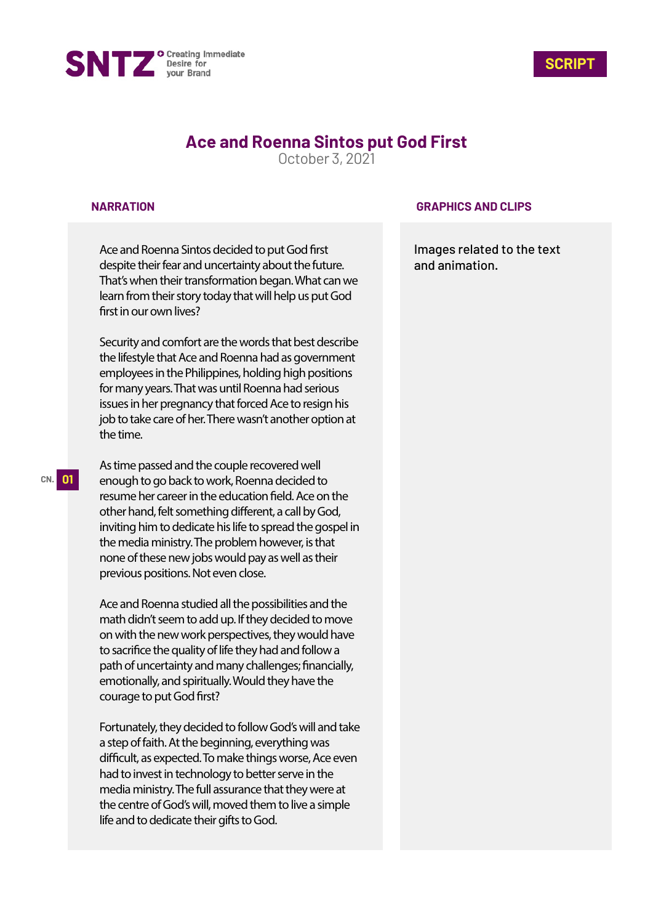



# **Ace and Roenna Sintos put God First**

October 3, 2021

### **NARRATION**

Ace and Roenna Sintos decided to put God first despite their fear and uncertainty about the future. That's when their transformation began. What can we learn from their story today that will help us put God first in our own lives?

Security and comfort are the words that best describe the lifestyle that Ace and Roenna had as government employees in the Philippines, holding high positions for many years. That was until Roenna had serious issues in her pregnancy that forced Ace to resign his job to take care of her. There wasn't another option at the time.

As time passed and the couple recovered well enough to go back to work, Roenna decided to resume her career in the education field. Ace on the other hand, felt something different, a call by God, inviting him to dedicate his life to spread the gospel in the media ministry. The problem however, is that none of these new jobs would pay as well as their previous positions. Not even close.

Ace and Roenna studied all the possibilities and the math didn't seem to add up. If they decided to move on with the new work perspectives, they would have to sacrifice the quality of life they had and follow a path of uncertainty and many challenges; financially, emotionally, and spiritually. Would they have the courage to put God first?

Fortunately, they decided to follow God's will and take a step of faith. At the beginning, everything was difficult, as expected. To make things worse, Ace even had to invest in technology to better serve in the media ministry. The full assurance that they were at the centre of God's will, moved them to live a simple life and to dedicate their gifts to God.

### **GRAPHICS AND CLIPS**

Images related to the text and animation.